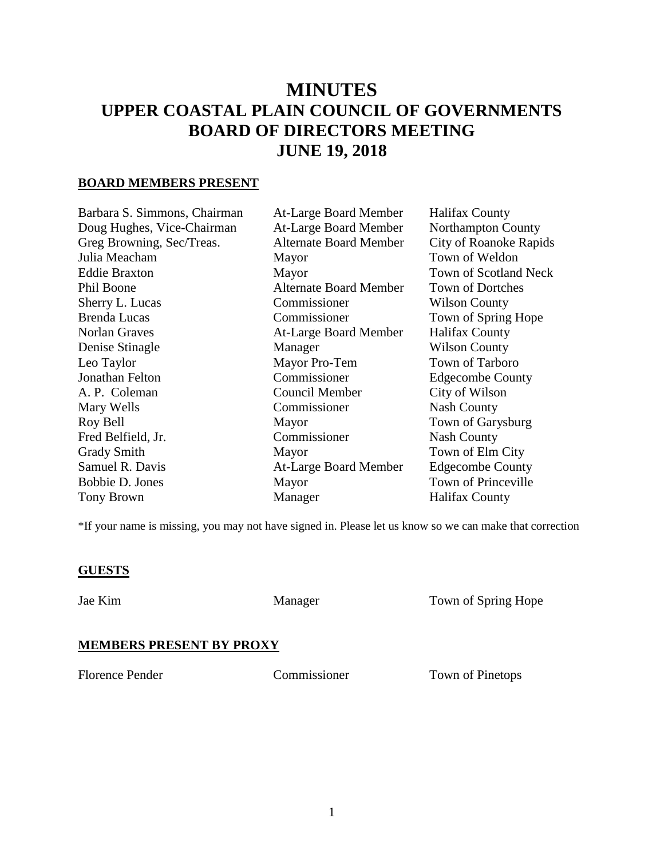# **MINUTES UPPER COASTAL PLAIN COUNCIL OF GOVERNMENTS BOARD OF DIRECTORS MEETING JUNE 19, 2018**

## **BOARD MEMBERS PRESENT**

| Barbara S. Simmons, Chairman | At-Large Board Member         | <b>Halifax County</b>         |
|------------------------------|-------------------------------|-------------------------------|
| Doug Hughes, Vice-Chairman   | At-Large Board Member         | <b>Northampton County</b>     |
| Greg Browning, Sec/Treas.    | <b>Alternate Board Member</b> | <b>City of Roanoke Rapids</b> |
| Julia Meacham                | Mayor                         | Town of Weldon                |
| <b>Eddie Braxton</b>         | Mayor                         | <b>Town of Scotland Neck</b>  |
| Phil Boone                   | <b>Alternate Board Member</b> | <b>Town of Dortches</b>       |
| Sherry L. Lucas              | Commissioner                  | <b>Wilson County</b>          |
| <b>Brenda Lucas</b>          | Commissioner                  | Town of Spring Hope           |
| <b>Norlan Graves</b>         | At-Large Board Member         | <b>Halifax County</b>         |
| Denise Stinagle              | Manager                       | <b>Wilson County</b>          |
| Leo Taylor                   | Mayor Pro-Tem                 | Town of Tarboro               |
| Jonathan Felton              | Commissioner                  | <b>Edgecombe County</b>       |
| A. P. Coleman                | Council Member                | City of Wilson                |
| Mary Wells                   | Commissioner                  | <b>Nash County</b>            |
| Roy Bell                     | Mayor                         | Town of Garysburg             |
| Fred Belfield, Jr.           | Commissioner                  | <b>Nash County</b>            |
| <b>Grady Smith</b>           | Mayor                         | Town of Elm City              |
| Samuel R. Davis              | At-Large Board Member         | <b>Edgecombe County</b>       |
| Bobbie D. Jones              | Mayor                         | Town of Princeville           |
| <b>Tony Brown</b>            | Manager                       | <b>Halifax County</b>         |
|                              |                               |                               |

\*If your name is missing, you may not have signed in. Please let us know so we can make that correction

#### **GUESTS**

Jae Kim Manager Town of Spring Hope

#### **MEMBERS PRESENT BY PROXY**

Florence Pender Commissioner Town of Pinetops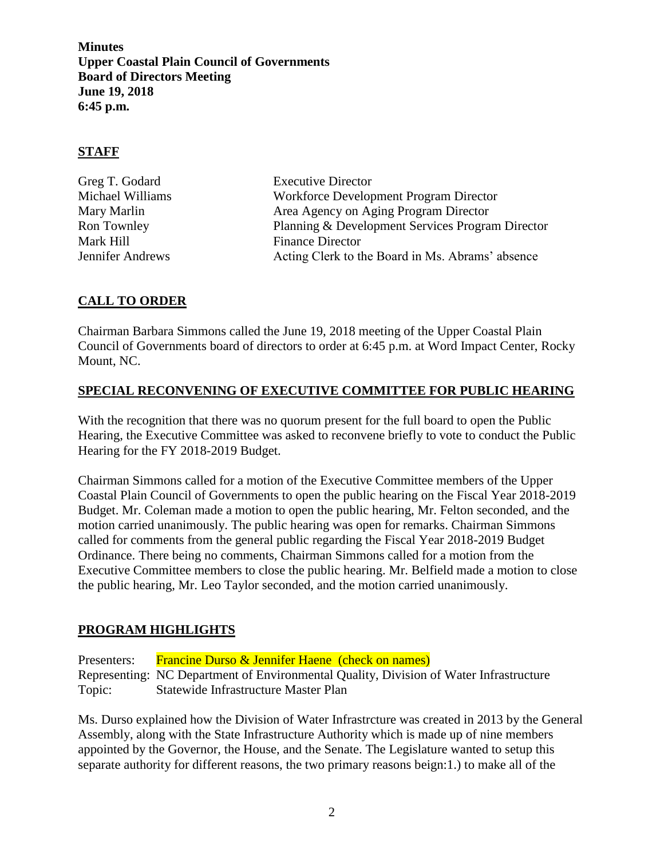## **STAFF**

| Greg T. Godard          | <b>Executive Director</b>                        |
|-------------------------|--------------------------------------------------|
| Michael Williams        | Workforce Development Program Director           |
| Mary Marlin             | Area Agency on Aging Program Director            |
| Ron Townley             | Planning & Development Services Program Director |
| Mark Hill               | <b>Finance Director</b>                          |
| <b>Jennifer Andrews</b> | Acting Clerk to the Board in Ms. Abrams' absence |

# **CALL TO ORDER**

Chairman Barbara Simmons called the June 19, 2018 meeting of the Upper Coastal Plain Council of Governments board of directors to order at 6:45 p.m. at Word Impact Center, Rocky Mount, NC.

## **SPECIAL RECONVENING OF EXECUTIVE COMMITTEE FOR PUBLIC HEARING**

With the recognition that there was no quorum present for the full board to open the Public Hearing, the Executive Committee was asked to reconvene briefly to vote to conduct the Public Hearing for the FY 2018-2019 Budget.

Chairman Simmons called for a motion of the Executive Committee members of the Upper Coastal Plain Council of Governments to open the public hearing on the Fiscal Year 2018-2019 Budget. Mr. Coleman made a motion to open the public hearing, Mr. Felton seconded, and the motion carried unanimously. The public hearing was open for remarks. Chairman Simmons called for comments from the general public regarding the Fiscal Year 2018-2019 Budget Ordinance. There being no comments, Chairman Simmons called for a motion from the Executive Committee members to close the public hearing. Mr. Belfield made a motion to close the public hearing, Mr. Leo Taylor seconded, and the motion carried unanimously.

## **PROGRAM HIGHLIGHTS**

Presenters: Francine Durso & Jennifer Haene (check on names) Representing: NC Department of Environmental Quality, Division of Water Infrastructure Topic: Statewide Infrastructure Master Plan

Ms. Durso explained how the Division of Water Infrastrcture was created in 2013 by the General Assembly, along with the State Infrastructure Authority which is made up of nine members appointed by the Governor, the House, and the Senate. The Legislature wanted to setup this separate authority for different reasons, the two primary reasons beign:1.) to make all of the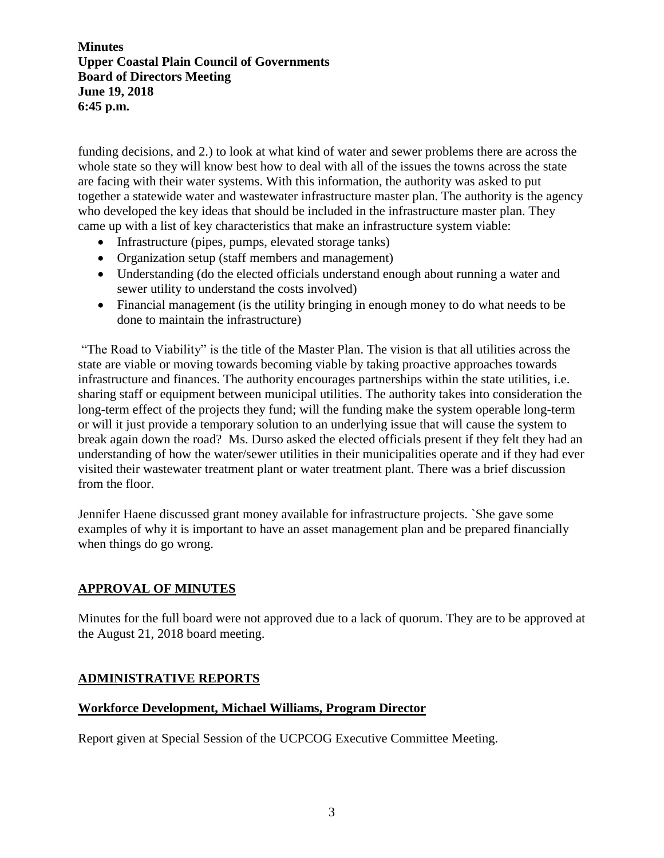funding decisions, and 2.) to look at what kind of water and sewer problems there are across the whole state so they will know best how to deal with all of the issues the towns across the state are facing with their water systems. With this information, the authority was asked to put together a statewide water and wastewater infrastructure master plan. The authority is the agency who developed the key ideas that should be included in the infrastructure master plan. They came up with a list of key characteristics that make an infrastructure system viable:

- Infrastructure (pipes, pumps, elevated storage tanks)
- Organization setup (staff members and management)
- Understanding (do the elected officials understand enough about running a water and sewer utility to understand the costs involved)
- Financial management (is the utility bringing in enough money to do what needs to be done to maintain the infrastructure)

"The Road to Viability" is the title of the Master Plan. The vision is that all utilities across the state are viable or moving towards becoming viable by taking proactive approaches towards infrastructure and finances. The authority encourages partnerships within the state utilities, i.e. sharing staff or equipment between municipal utilities. The authority takes into consideration the long-term effect of the projects they fund; will the funding make the system operable long-term or will it just provide a temporary solution to an underlying issue that will cause the system to break again down the road? Ms. Durso asked the elected officials present if they felt they had an understanding of how the water/sewer utilities in their municipalities operate and if they had ever visited their wastewater treatment plant or water treatment plant. There was a brief discussion from the floor.

Jennifer Haene discussed grant money available for infrastructure projects. `She gave some examples of why it is important to have an asset management plan and be prepared financially when things do go wrong.

#### **APPROVAL OF MINUTES**

Minutes for the full board were not approved due to a lack of quorum. They are to be approved at the August 21, 2018 board meeting.

#### **ADMINISTRATIVE REPORTS**

#### **Workforce Development, Michael Williams, Program Director**

Report given at Special Session of the UCPCOG Executive Committee Meeting.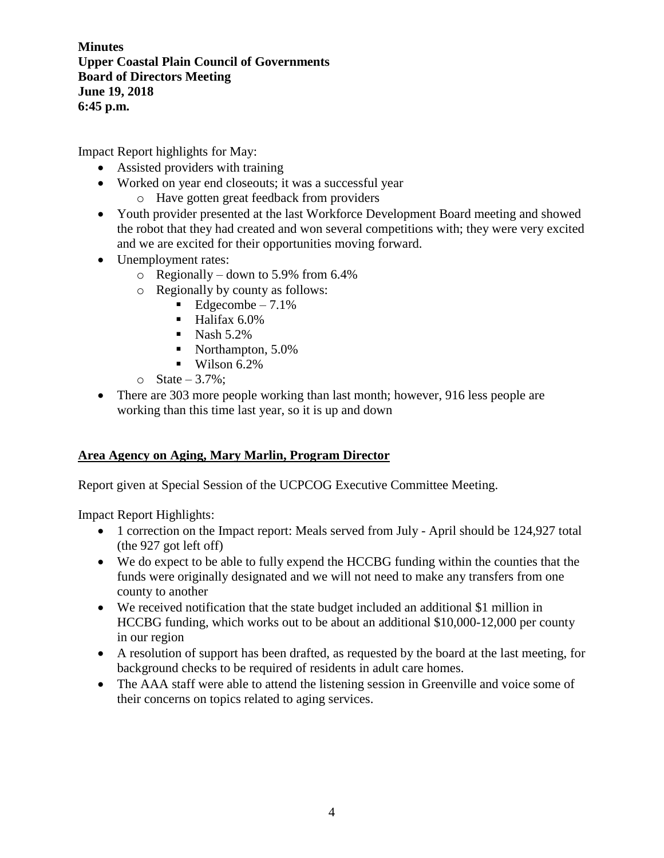Impact Report highlights for May:

- Assisted providers with training
- Worked on year end closeouts; it was a successful year
	- o Have gotten great feedback from providers
- Youth provider presented at the last Workforce Development Board meeting and showed the robot that they had created and won several competitions with; they were very excited and we are excited for their opportunities moving forward.
- Unemployment rates:
	- $\circ$  Regionally down to 5.9% from 6.4%
	- o Regionally by county as follows:
		- $\blacksquare$  Edgecombe 7.1%
		- $\blacksquare$  Halifax 6.0%
		- $\blacksquare$  Nash 5.2%
		- Northampton, 5.0%
		- $\blacksquare$  Wilson 6.2%
	- $\circ$  State 3.7%;
- There are 303 more people working than last month; however, 916 less people are working than this time last year, so it is up and down

## **Area Agency on Aging, Mary Marlin, Program Director**

Report given at Special Session of the UCPCOG Executive Committee Meeting.

Impact Report Highlights:

- 1 correction on the Impact report: Meals served from July April should be 124,927 total (the 927 got left off)
- We do expect to be able to fully expend the HCCBG funding within the counties that the funds were originally designated and we will not need to make any transfers from one county to another
- We received notification that the state budget included an additional \$1 million in HCCBG funding, which works out to be about an additional \$10,000-12,000 per county in our region
- A resolution of support has been drafted, as requested by the board at the last meeting, for background checks to be required of residents in adult care homes.
- The AAA staff were able to attend the listening session in Greenville and voice some of their concerns on topics related to aging services.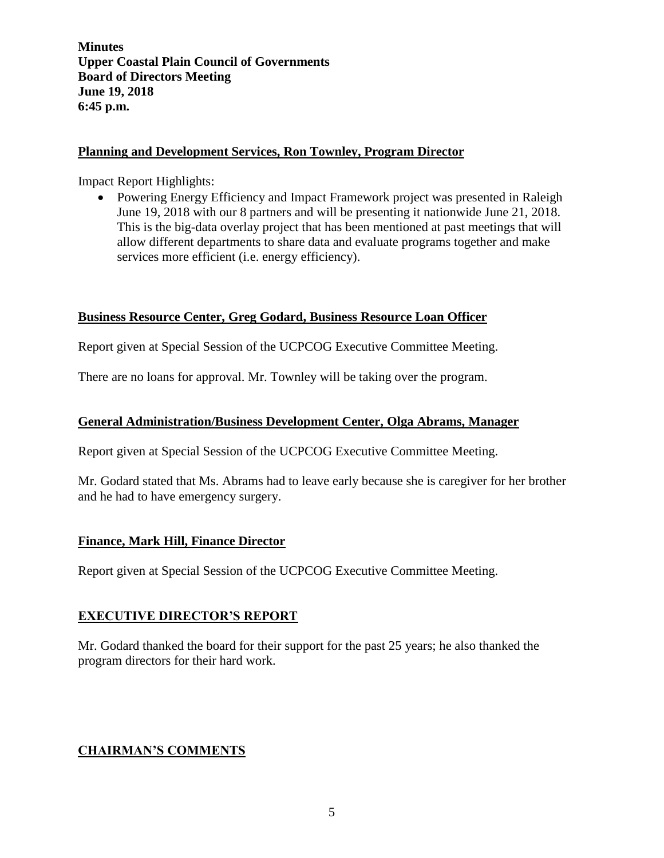#### **Planning and Development Services, Ron Townley, Program Director**

Impact Report Highlights:

• Powering Energy Efficiency and Impact Framework project was presented in Raleigh June 19, 2018 with our 8 partners and will be presenting it nationwide June 21, 2018. This is the big-data overlay project that has been mentioned at past meetings that will allow different departments to share data and evaluate programs together and make services more efficient (i.e. energy efficiency).

## **Business Resource Center, Greg Godard, Business Resource Loan Officer**

Report given at Special Session of the UCPCOG Executive Committee Meeting.

There are no loans for approval. Mr. Townley will be taking over the program.

#### **General Administration/Business Development Center, Olga Abrams, Manager**

Report given at Special Session of the UCPCOG Executive Committee Meeting.

Mr. Godard stated that Ms. Abrams had to leave early because she is caregiver for her brother and he had to have emergency surgery.

#### **Finance, Mark Hill, Finance Director**

Report given at Special Session of the UCPCOG Executive Committee Meeting.

## **EXECUTIVE DIRECTOR'S REPORT**

Mr. Godard thanked the board for their support for the past 25 years; he also thanked the program directors for their hard work.

## **CHAIRMAN'S COMMENTS**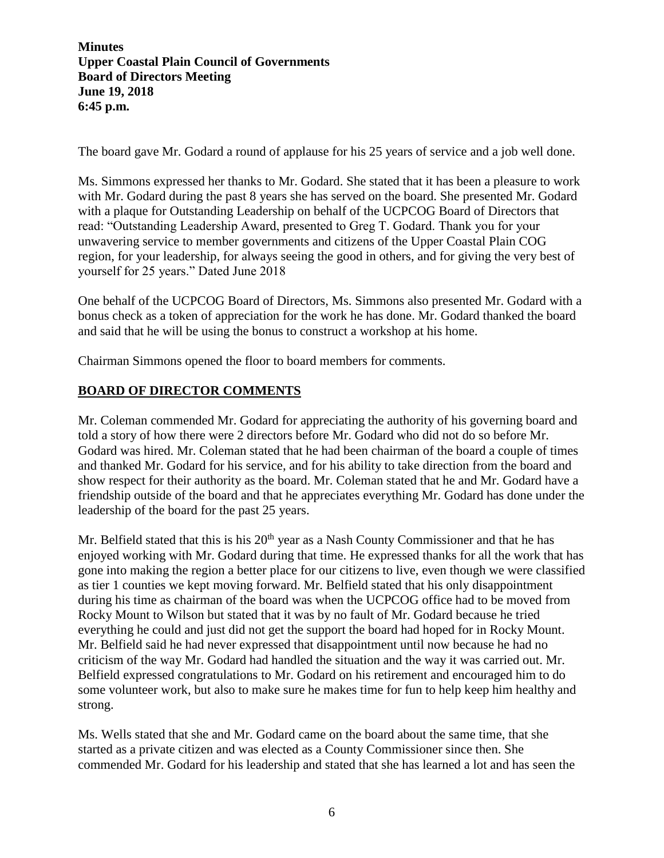The board gave Mr. Godard a round of applause for his 25 years of service and a job well done.

Ms. Simmons expressed her thanks to Mr. Godard. She stated that it has been a pleasure to work with Mr. Godard during the past 8 years she has served on the board. She presented Mr. Godard with a plaque for Outstanding Leadership on behalf of the UCPCOG Board of Directors that read: "Outstanding Leadership Award, presented to Greg T. Godard. Thank you for your unwavering service to member governments and citizens of the Upper Coastal Plain COG region, for your leadership, for always seeing the good in others, and for giving the very best of yourself for 25 years." Dated June 2018

One behalf of the UCPCOG Board of Directors, Ms. Simmons also presented Mr. Godard with a bonus check as a token of appreciation for the work he has done. Mr. Godard thanked the board and said that he will be using the bonus to construct a workshop at his home.

Chairman Simmons opened the floor to board members for comments.

# **BOARD OF DIRECTOR COMMENTS**

Mr. Coleman commended Mr. Godard for appreciating the authority of his governing board and told a story of how there were 2 directors before Mr. Godard who did not do so before Mr. Godard was hired. Mr. Coleman stated that he had been chairman of the board a couple of times and thanked Mr. Godard for his service, and for his ability to take direction from the board and show respect for their authority as the board. Mr. Coleman stated that he and Mr. Godard have a friendship outside of the board and that he appreciates everything Mr. Godard has done under the leadership of the board for the past 25 years.

Mr. Belfield stated that this is his  $20<sup>th</sup>$  year as a Nash County Commissioner and that he has enjoyed working with Mr. Godard during that time. He expressed thanks for all the work that has gone into making the region a better place for our citizens to live, even though we were classified as tier 1 counties we kept moving forward. Mr. Belfield stated that his only disappointment during his time as chairman of the board was when the UCPCOG office had to be moved from Rocky Mount to Wilson but stated that it was by no fault of Mr. Godard because he tried everything he could and just did not get the support the board had hoped for in Rocky Mount. Mr. Belfield said he had never expressed that disappointment until now because he had no criticism of the way Mr. Godard had handled the situation and the way it was carried out. Mr. Belfield expressed congratulations to Mr. Godard on his retirement and encouraged him to do some volunteer work, but also to make sure he makes time for fun to help keep him healthy and strong.

Ms. Wells stated that she and Mr. Godard came on the board about the same time, that she started as a private citizen and was elected as a County Commissioner since then. She commended Mr. Godard for his leadership and stated that she has learned a lot and has seen the